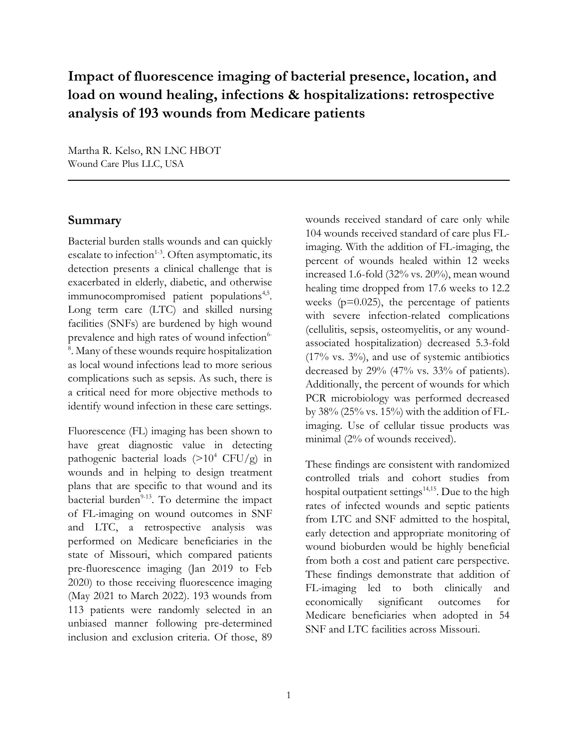# **Impact of fluorescence imaging of bacterial presence, location, and load on wound healing, infections & hospitalizations: retrospective analysis of 193 wounds from Medicare patients**

Martha R. Kelso, RN LNC HBOT Wound Care Plus LLC, USA

#### **Summary**

Bacterial burden stalls wounds and can quickly escalate to infection<sup>1-3</sup>. Often asymptomatic, its detection presents a clinical challenge that is exacerbated in elderly, diabetic, and otherwise immunocompromised patient populations<sup>4,5</sup>. Long term care (LTC) and skilled nursing facilities (SNFs) are burdened by high wound prevalence and high rates of wound infection<sup>6-</sup> 8 . Many of these wounds require hospitalization as local wound infections lead to more serious complications such as sepsis. As such, there is a critical need for more objective methods to identify wound infection in these care settings.

Fluorescence (FL) imaging has been shown to have great diagnostic value in detecting pathogenic bacterial loads  $(>10^4 \text{ CFU/g})$  in wounds and in helping to design treatment plans that are specific to that wound and its bacterial burden $9-13$ . To determine the impact of FL-imaging on wound outcomes in SNF and LTC, a retrospective analysis was performed on Medicare beneficiaries in the state of Missouri, which compared patients pre-fluorescence imaging (Jan 2019 to Feb 2020) to those receiving fluorescence imaging (May 2021 to March 2022). 193 wounds from 113 patients were randomly selected in an unbiased manner following pre-determined inclusion and exclusion criteria. Of those, 89

wounds received standard of care only while 104 wounds received standard of care plus FLimaging. With the addition of FL-imaging, the percent of wounds healed within 12 weeks increased 1.6-fold (32% vs. 20%), mean wound healing time dropped from 17.6 weeks to 12.2 weeks  $(p=0.025)$ , the percentage of patients with severe infection-related complications (cellulitis, sepsis, osteomyelitis, or any woundassociated hospitalization) decreased 5.3-fold  $(17\%$  vs.  $3\%)$ , and use of systemic antibiotics decreased by 29% (47% vs. 33% of patients). Additionally, the percent of wounds for which PCR microbiology was performed decreased by  $38\%$  (25% vs. 15%) with the addition of FLimaging. Use of cellular tissue products was minimal (2% of wounds received).

These findings are consistent with randomized controlled trials and cohort studies from hospital outpatient settings 14,15 . Due to the high rates of infected wounds and septic patients from LTC and SNF admitted to the hospital, early detection and appropriate monitoring of wound bioburden would be highly beneficial from both a cost and patient care perspective. These findings demonstrate that addition of FL-imaging led to both clinically and economically significant outcomes for Medicare beneficiaries when adopted in 54 SNF and LTC facilities across Missouri.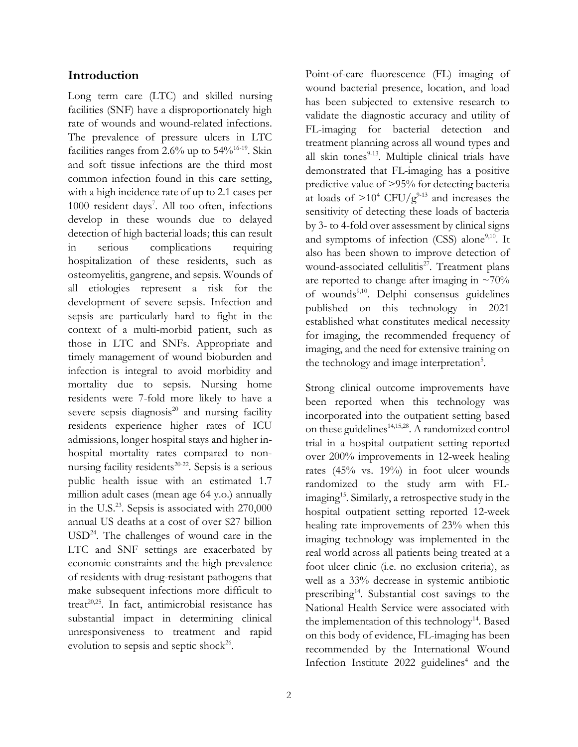#### **Introduction**

Long term care (LTC) and skilled nursing facilities (SNF) have a disproportionately high rate of wounds and wound-related infections. The prevalence of pressure ulcers in LTC facilities ranges from  $2.6\%$  up to  $54\%/16-19}$ . Skin and soft tissue infections are the third most common infection found in this care setting, with a high incidence rate of up to 2.1 cases per 1000 resident days<sup>7</sup>. All too often, infections develop in these wounds due to delayed detection of high bacterial loads; this can result in serious complications requiring hospitalization of these residents, such as osteomyelitis, gangrene, and sepsis. Wounds of all etiologies represent a risk for the development of severe sepsis. Infection and sepsis are particularly hard to fight in the context of a multi-morbid patient, such as those in LTC and SNFs. Appropriate and timely management of wound bioburden and infection is integral to avoid morbidity and mortality due to sepsis. Nursing home residents were 7-fold more likely to have a severe sepsis diagnosis $^{20}$  and nursing facility residents experience higher rates of ICU admissions, longer hospital stays and higher inhospital mortality rates compared to nonnursing facility residents $20-22$ . Sepsis is a serious public health issue with an estimated 1.7 million adult cases (mean age 64 y.o.) annually in the U.S. <sup>23</sup>. Sepsis is associated with 270,000 annual US deaths at a cost of over \$27 billion USD<sup>24</sup>. The challenges of wound care in the LTC and SNF settings are exacerbated by economic constraints and the high prevalence of residents with drug-resistant pathogens that make subsequent infections more difficult to treat<sup>20,25</sup>. In fact, antimicrobial resistance has substantial impact in determining clinical unresponsiveness to treatment and rapid evolution to sepsis and septic shock $26$ .

Point-of-care fluorescence (FL) imaging of wound bacterial presence, location, and load has been subjected to extensive research to validate the diagnostic accuracy and utility of FL-imaging for bacterial detection and treatment planning across all wound types and all skin tones $9-13$ . Multiple clinical trials have demonstrated that FL-imaging has a positive predictive value of >95% for detecting bacteria at loads of  $>10^4$  CFU/g<sup>9-13</sup> and increases the sensitivity of detecting these loads of bacteria by 3- to 4-fold over assessment by clinical signs and symptoms of infection (CSS) alone<sup>9,10</sup>. It also has been shown to improve detection of wound-associated cellulitis<sup>27</sup>. Treatment plans are reported to change after imaging in  $\approx 70\%$ of wounds<sup>9,10</sup>. Delphi consensus guidelines published on this technology in 2021 established what constitutes medical necessity for imaging, the recommended frequency of imaging, and the need for extensive training on the technology and image interpretation<sup>5</sup>.

Strong clinical outcome improvements have been reported when this technology was incorporated into the outpatient setting based on these guidelines<sup>14,15,28</sup>. A randomized control trial in a hospital outpatient setting reported over 200% improvements in 12-week healing rates (45% vs. 19%) in foot ulcer wounds randomized to the study arm with FLimaging<sup>15</sup> . Similarly, a retrospective study in the hospital outpatient setting reported 12-week healing rate improvements of 23% when this imaging technology was implemented in the real world across all patients being treated at a foot ulcer clinic (i.e. no exclusion criteria), as well as a 33% decrease in systemic antibiotic prescribing<sup>14</sup>. Substantial cost savings to the National Health Service were associated with the implementation of this technology<sup>14</sup>. Based on this body of evidence, FL-imaging has been recommended by the International Wound Infection Institute 2022 guidelines<sup>4</sup> and the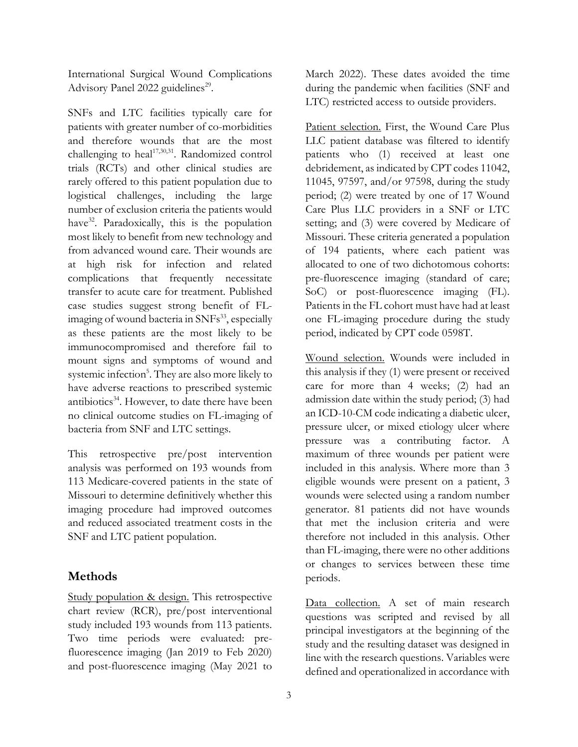International Surgical Wound Complications Advisory Panel 2022 guidelines<sup>29</sup>.

SNFs and LTC facilities typically care for patients with greater number of co-morbidities and therefore wounds that are the most challenging to heal $1^{7,30,31}$ . Randomized control trials (RCTs) and other clinical studies are rarely offered to this patient population due to logistical challenges, including the large number of exclusion criteria the patients would have<sup>32</sup>. Paradoxically, this is the population most likely to benefit from new technology and from advanced wound care. Their wounds are at high risk for infection and related complications that frequently necessitate transfer to acute care for treatment. Published case studies suggest strong benefit of FLimaging of wound bacteria in SNFs<sup>33</sup>, especially as these patients are the most likely to be immunocompromised and therefore fail to mount signs and symptoms of wound and systemic infection<sup>5</sup>. They are also more likely to have adverse reactions to prescribed systemic antibiotics<sup>34</sup>. However, to date there have been no clinical outcome studies on FL-imaging of bacteria from SNF and LTC settings.

This retrospective pre/post intervention analysis was performed on 193 wounds from 113 Medicare-covered patients in the state of Missouri to determine definitively whether this imaging procedure had improved outcomes and reduced associated treatment costs in the SNF and LTC patient population.

## **Methods**

Study population & design. This retrospective chart review (RCR), pre/post interventional study included 193 wounds from 113 patients. Two time periods were evaluated: prefluorescence imaging (Jan 2019 to Feb 2020) and post-fluorescence imaging (May 2021 to

March 2022). These dates avoided the time during the pandemic when facilities (SNF and LTC) restricted access to outside providers.

Patient selection. First, the Wound Care Plus LLC patient database was filtered to identify patients who (1) received at least one debridement, as indicated by CPT codes 11042, 11045, 97597, and/or 97598, during the study period; (2) were treated by one of 17 Wound Care Plus LLC providers in a SNF or LTC setting; and (3) were covered by Medicare of Missouri. These criteria generated a population of 194 patients, where each patient was allocated to one of two dichotomous cohorts: pre-fluorescence imaging (standard of care; SoC) or post-fluorescence imaging (FL). Patients in the FL cohort must have had at least one FL-imaging procedure during the study period, indicated by CPT code 0598T.

Wound selection. Wounds were included in this analysis if they (1) were present or received care for more than 4 weeks; (2) had an admission date within the study period; (3) had an ICD-10-CM code indicating a diabetic ulcer, pressure ulcer, or mixed etiology ulcer where pressure was a contributing factor. A maximum of three wounds per patient were included in this analysis. Where more than 3 eligible wounds were present on a patient, 3 wounds were selected using a random number generator. 81 patients did not have wounds that met the inclusion criteria and were therefore not included in this analysis. Other than FL-imaging, there were no other additions or changes to services between these time periods.

Data collection. A set of main research questions was scripted and revised by all principal investigators at the beginning of the study and the resulting dataset was designed in line with the research questions. Variables were defined and operationalized in accordance with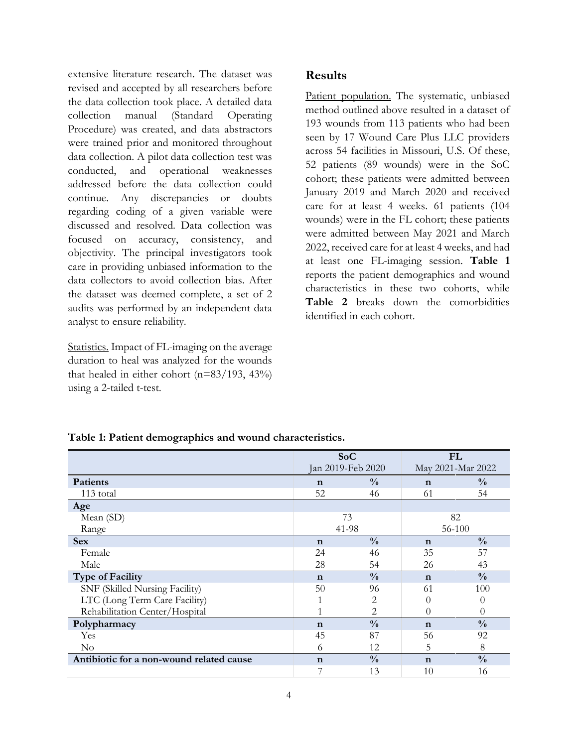extensive literature research. The dataset was revised and accepted by all researchers before the data collection took place. A detailed data collection manual (Standard Operating Procedure) was created, and data abstractors were trained prior and monitored throughout data collection. A pilot data collection test was conducted, and operational weaknesses addressed before the data collection could continue. Any discrepancies or doubts regarding coding of a given variable were discussed and resolved. Data collection was focused on accuracy, consistency, and objectivity. The principal investigators took care in providing unbiased information to the data collectors to avoid collection bias. After the dataset was deemed complete, a set of 2 audits was performed by an independent data analyst to ensure reliability.

Statistics. Impact of FL-imaging on the average duration to heal was analyzed for the wounds that healed in either cohort  $(n=83/193, 43\%)$ using a 2-tailed t-test.

## **Results**

Patient population. The systematic, unbiased method outlined above resulted in a dataset of 193 wounds from 113 patients who had been seen by 17 Wound Care Plus LLC providers across 54 facilities in Missouri, U.S. Of these, 52 patients (89 wounds) were in the SoC cohort; these patients were admitted between January 2019 and March 2020 and received care for at least 4 weeks. 61 patients (104 wounds) were in the FL cohort; these patients were admitted between May 2021 and March 2022, received care for at least 4 weeks, and had at least one FL-imaging session. **Table 1** reports the patient demographics and wound characteristics in these two cohorts, while **Table 2** breaks down the comorbidities identified in each cohort.

| Table 1: Patient demographics and wound characteristics. |
|----------------------------------------------------------|
|----------------------------------------------------------|

|                                          | SoC<br>Jan 2019-Feb 2020 |               | <b>FL</b><br>May 2021-Mar 2022 |               |
|------------------------------------------|--------------------------|---------------|--------------------------------|---------------|
|                                          |                          |               |                                |               |
| Patients                                 | $\mathbf n$              | $\frac{0}{0}$ | $\mathbf n$                    | $\frac{0}{0}$ |
| 113 total                                | 52                       | 46            | 61                             | 54            |
| Age                                      |                          |               |                                |               |
| Mean (SD)                                | 73                       |               | 82                             |               |
| Range                                    | 41-98                    |               | 56-100                         |               |
| <b>Sex</b>                               | $\mathbf n$              | $\frac{0}{0}$ | $\mathbf n$                    | $\frac{0}{0}$ |
| Female                                   | 24                       | 46            | 35                             | 57            |
| Male                                     | 28                       | 54            | 26                             | 43            |
| <b>Type of Facility</b>                  | $\mathbf n$              | $\frac{0}{0}$ | $\mathbf n$                    | $\frac{0}{0}$ |
| SNF (Skilled Nursing Facility)           | 50                       | 96            | 61                             | 100           |
| LTC (Long Term Care Facility)            |                          | 2             | $\theta$                       | $\theta$      |
| Rehabilitation Center/Hospital           |                          | 2             | 0                              | $\Omega$      |
| Polypharmacy                             | $\mathbf n$              | $\frac{0}{0}$ | $\mathbf n$                    | $\frac{0}{0}$ |
| Yes                                      | 45                       | 87            | 56                             | 92            |
| $\rm No$                                 | 6                        | 12            | 5                              | 8             |
| Antibiotic for a non-wound related cause | $\mathbf n$              | $\frac{0}{0}$ | $\mathbf n$                    | $\frac{0}{0}$ |
|                                          | 7                        | 13            | 10                             | 16            |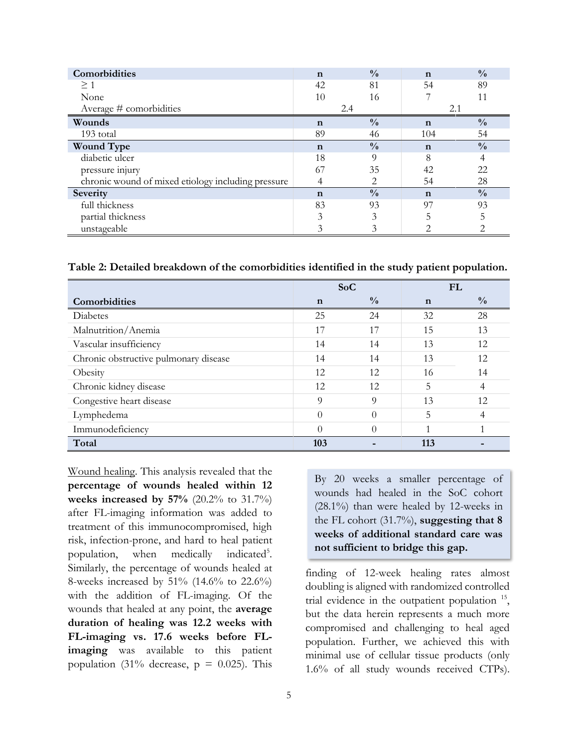| Comorbidities                                      | $\mathbf n$ | $\frac{0}{0}$ | $\mathbf n$ | $\frac{0}{0}$ |
|----------------------------------------------------|-------------|---------------|-------------|---------------|
| $\geq 1$                                           | 42          | 81            | 54          | 89            |
| None                                               | 10          | 16            |             | 11            |
| Average # comorbidities                            | 2.4         |               | 2.1         |               |
| Wounds                                             | $\mathbf n$ | $\frac{0}{0}$ | $\mathbf n$ | $\frac{0}{0}$ |
| 193 total                                          | 89          | 46            | 104         | 54            |
| <b>Wound Type</b>                                  | $\mathbf n$ | $\frac{0}{0}$ | $\mathbf n$ | $\frac{0}{0}$ |
| diabetic ulcer                                     | 18          | 9             | 8           | 4             |
| pressure injury                                    | 67          | 35            | 42          | 22            |
| chronic wound of mixed etiology including pressure |             | 2             | 54          | 28            |
| Severity                                           | $\mathbf n$ | $\frac{0}{0}$ | $\mathbf n$ | $\frac{0}{0}$ |
| full thickness                                     | 83          | 93            | 97          | 93            |
| partial thickness                                  | 3           | 3             |             | 5             |
| unstageable                                        |             |               |             |               |

**Table 2: Detailed breakdown of the comorbidities identified in the study patient population.**

|                                       | SoC         |               | FL          |               |
|---------------------------------------|-------------|---------------|-------------|---------------|
| Comorbidities                         | $\mathbf n$ | $\frac{0}{0}$ | $\mathbf n$ | $\frac{0}{0}$ |
| Diabetes                              | 25          | 24            | 32          | 28            |
| Malnutrition/Anemia                   | 17          | 17            | 15          | 13            |
| Vascular insufficiency                | 14          | 14            | 13          | 12            |
| Chronic obstructive pulmonary disease | 14          | 14            | 13          | 12            |
| Obesity                               | 12          | 12            | 16          | 14            |
| Chronic kidney disease                | 12          | 12            | 5           | 4             |
| Congestive heart disease              | 9           | 9             | 13          | 12            |
| Lymphedema                            | $\theta$    | $\Omega$      | 5           | 4             |
| Immunodeficiency                      | $\Omega$    | $\Omega$      |             |               |
| Total                                 | 103         |               | 113         |               |

Wound healing. This analysis revealed that the **percentage of wounds healed within 12 weeks increased by 57%** (20.2% to 31.7%) after FL-imaging information was added to treatment of this immunocompromised, high risk, infection-prone, and hard to heal patient population, when medically indicated<sup>5</sup>. Similarly, the percentage of wounds healed at 8-weeks increased by 51% (14.6% to 22.6%) with the addition of FL-imaging. Of the wounds that healed at any point, the **average duration of healing was 12.2 weeks with FL-imaging vs. 17.6 weeks before FLimaging** was available to this patient population (31% decrease,  $p = 0.025$ ). This

By 20 weeks a smaller percentage of wounds had healed in the SoC cohort (28.1%) than were healed by 12-weeks in the FL cohort (31.7%), **suggesting that 8 weeks of additional standard care was not sufficient to bridge this gap.**

finding of 12-week healing rates almost doubling is aligned with randomized controlled trial evidence in the outpatient population  $15$ , but the data herein represents a much more compromised and challenging to heal aged population. Further, we achieved this with minimal use of cellular tissue products (only 1.6% of all study wounds received CTPs).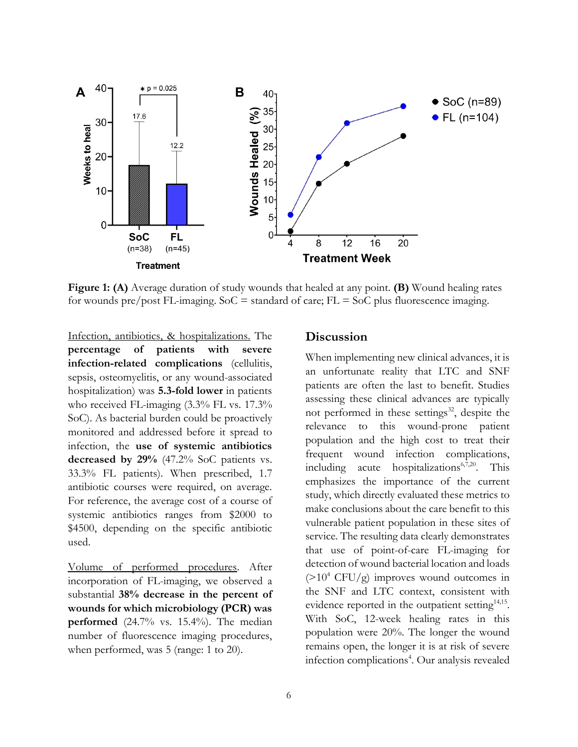

**Figure 1: (A)** Average duration of study wounds that healed at any point. **(B)** Wound healing rates for wounds pre/post FL-imaging.  $Soc =$  standard of care;  $FL = Soc$  plus fluorescence imaging.

Infection, antibiotics, & hospitalizations. The **percentage of patients with severe infection-related complications** (cellulitis, sepsis, osteomyelitis, or any wound-associated hospitalization) was **5.3-fold lower** in patients who received FL-imaging (3.3% FL vs. 17.3% SoC). As bacterial burden could be proactively monitored and addressed before it spread to infection, the **use of systemic antibiotics decreased by 29%** (47.2% SoC patients vs. 33.3% FL patients). When prescribed, 1.7 antibiotic courses were required, on average. For reference, the average cost of a course of systemic antibiotics ranges from \$2000 to \$4500, depending on the specific antibiotic used.

Volume of performed procedures. After incorporation of FL-imaging, we observed a substantial **38% decrease in the percent of wounds for which microbiology (PCR) was performed** (24.7% vs. 15.4%). The median number of fluorescence imaging procedures, when performed, was 5 (range: 1 to 20).

#### **Discussion**

When implementing new clinical advances, it is an unfortunate reality that LTC and SNF patients are often the last to benefit. Studies assessing these clinical advances are typically not performed in these settings<sup>32</sup>, despite the relevance to this wound-prone patient population and the high cost to treat their frequent wound infection complications, including acute hospitalizations $6,7,20$ . This emphasizes the importance of the current study, which directly evaluated these metrics to make conclusions about the care benefit to this vulnerable patient population in these sites of service. The resulting data clearly demonstrates that use of point-of-care FL-imaging for detection of wound bacterial location and loads  $(>10^4 \text{ CFU/g})$  improves wound outcomes in the SNF and LTC context, consistent with evidence reported in the outpatient setting<sup>14,15</sup>. With SoC, 12-week healing rates in this population were 20%. The longer the wound remains open, the longer it is at risk of severe infection complications<sup>4</sup>. Our analysis revealed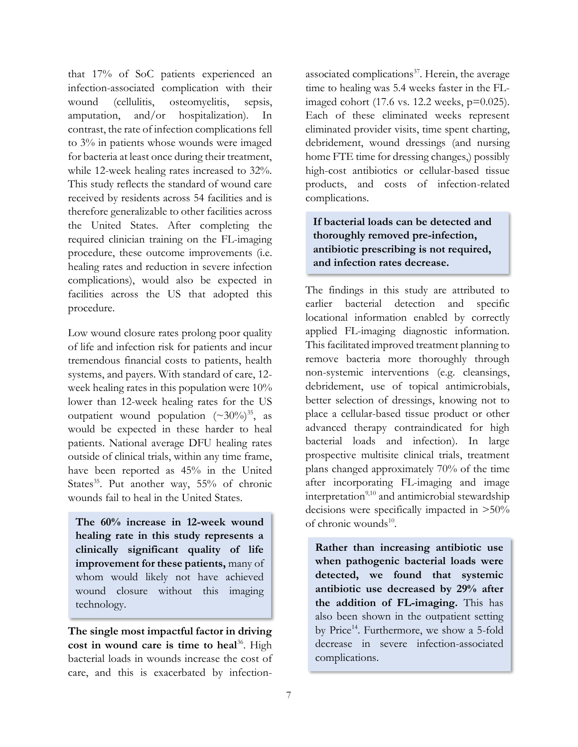that 17% of SoC patients experienced an infection-associated complication with their wound (cellulitis, osteomyelitis, sepsis, amputation, and/or hospitalization). In contrast, the rate of infection complications fell to 3% in patients whose wounds were imaged for bacteria at least once during their treatment, while 12-week healing rates increased to 32%. This study reflects the standard of wound care received by residents across 54 facilities and is therefore generalizable to other facilities across the United States. After completing the required clinician training on the FL-imaging procedure, these outcome improvements (i.e. healing rates and reduction in severe infection complications), would also be expected in facilities across the US that adopted this procedure.

Low wound closure rates prolong poor quality of life and infection risk for patients and incur tremendous financial costs to patients, health systems, and payers. With standard of care, 12 week healing rates in this population were 10% lower than 12-week healing rates for the US outpatient wound population  $({\sim}30\%)^{35}$ , as would be expected in these harder to heal patients. National average DFU healing rates outside of clinical trials, within any time frame, have been reported as 45% in the United States<sup>35</sup>. Put another way, 55% of chronic wounds fail to heal in the United States.

**The 60% increase in 12-week wound healing rate in this study represents a clinically significant quality of life improvement for these patients,** many of whom would likely not have achieved wound closure without this imaging technology.

**The single most impactful factor in driving**  cost in wound care is time to heal<sup>36</sup>. High bacterial loads in wounds increase the cost of care, and this is exacerbated by infection-

associated complications<sup>37</sup>. Herein, the average time to healing was 5.4 weeks faster in the FLimaged cohort (17.6 vs. 12.2 weeks, p=0.025). Each of these eliminated weeks represent eliminated provider visits, time spent charting, debridement, wound dressings (and nursing home FTE time for dressing changes,) possibly high-cost antibiotics or cellular-based tissue products, and costs of infection-related complications.

## **If bacterial loads can be detected and thoroughly removed pre-infection, antibiotic prescribing is not required, and infection rates decrease.**

The findings in this study are attributed to earlier bacterial detection and specific locational information enabled by correctly applied FL-imaging diagnostic information. This facilitated improved treatment planning to remove bacteria more thoroughly through non-systemic interventions (e.g. cleansings, debridement, use of topical antimicrobials, better selection of dressings, knowing not to place a cellular-based tissue product or other advanced therapy contraindicated for high bacterial loads and infection). In large prospective multisite clinical trials, treatment plans changed approximately 70% of the time after incorporating FL-imaging and image interpretation<sup>9,10</sup> and antimicrobial stewardship decisions were specifically impacted in >50% of chronic wounds<sup>10</sup>.

**Rather than increasing antibiotic use when pathogenic bacterial loads were detected, we found that systemic antibiotic use decreased by 29% after the addition of FL-imaging.** This has also been shown in the outpatient setting by Price<sup>14</sup>. Furthermore, we show a 5-fold decrease in severe infection-associated complications.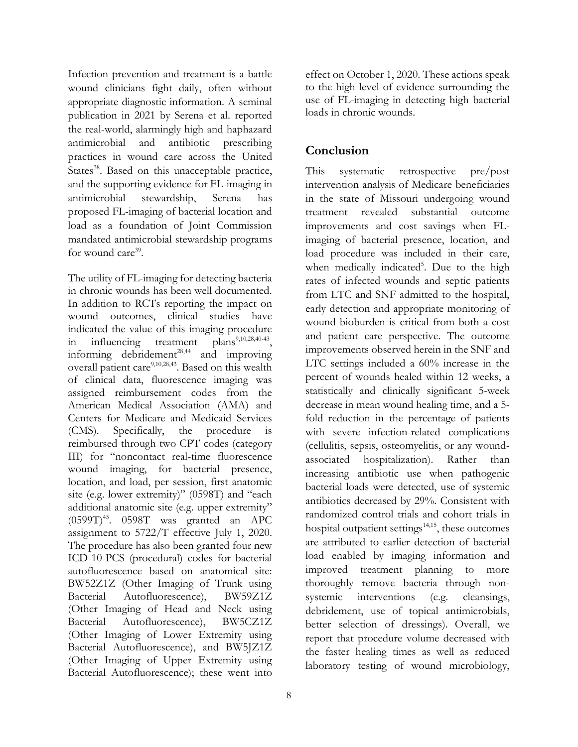Infection prevention and treatment is a battle wound clinicians fight daily, often without appropriate diagnostic information. A seminal publication in 2021 by Serena et al. reported the real-world, alarmingly high and haphazard antimicrobial and antibiotic prescribing practices in wound care across the United States<sup>38</sup>. Based on this unacceptable practice, and the supporting evidence for FL-imaging in antimicrobial stewardship, Serena has proposed FL-imaging of bacterial location and load as a foundation of Joint Commission mandated antimicrobial stewardship programs for wound care<sup>39</sup>.

The utility of FL-imaging for detecting bacteria in chronic wounds has been well documented. In addition to RCTs reporting the impact on wound outcomes, clinical studies have indicated the value of this imaging procedure in influencing treatment plans<sup>9,10,28,40-43</sup>, informing debridement<sup>28,44</sup> and improving overall patient care<sup>9,10,28,43</sup>. Based on this wealth of clinical data, fluorescence imaging was assigned reimbursement codes from the American Medical Association (AMA) and Centers for Medicare and Medicaid Services (CMS). Specifically, the procedure is reimbursed through two CPT codes (category III) for "noncontact real-time fluorescence wound imaging, for bacterial presence, location, and load, per session, first anatomic site (e.g. lower extremity)" (0598T) and "each additional anatomic site (e.g. upper extremity"  $(0599T)^{45}$ . 0598T was granted an APC assignment to 5722/T effective July 1, 2020. The procedure has also been granted four new ICD-10-PCS (procedural) codes for bacterial autofluorescence based on anatomical site: BW52Z1Z (Other Imaging of Trunk using Bacterial Autofluorescence), BW59Z1Z (Other Imaging of Head and Neck using Bacterial Autofluorescence), BW5CZ1Z (Other Imaging of Lower Extremity using Bacterial Autofluorescence), and BW5JZ1Z (Other Imaging of Upper Extremity using Bacterial Autofluorescence); these went into

effect on October 1, 2020. These actions speak to the high level of evidence surrounding the use of FL-imaging in detecting high bacterial loads in chronic wounds.

## **Conclusion**

This systematic retrospective pre/post intervention analysis of Medicare beneficiaries in the state of Missouri undergoing wound treatment revealed substantial outcome improvements and cost savings when FLimaging of bacterial presence, location, and load procedure was included in their care, when medically indicated<sup>5</sup>. Due to the high rates of infected wounds and septic patients from LTC and SNF admitted to the hospital, early detection and appropriate monitoring of wound bioburden is critical from both a cost and patient care perspective. The outcome improvements observed herein in the SNF and LTC settings included a 60% increase in the percent of wounds healed within 12 weeks, a statistically and clinically significant 5-week decrease in mean wound healing time, and a 5 fold reduction in the percentage of patients with severe infection-related complications (cellulitis, sepsis, osteomyelitis, or any woundassociated hospitalization). Rather than increasing antibiotic use when pathogenic bacterial loads were detected, use of systemic antibiotics decreased by 29%. Consistent with randomized control trials and cohort trials in hospital outpatient settings<sup>14,15</sup>, these outcomes are attributed to earlier detection of bacterial load enabled by imaging information and improved treatment planning to more thoroughly remove bacteria through nonsystemic interventions (e.g. cleansings, debridement, use of topical antimicrobials, better selection of dressings). Overall, we report that procedure volume decreased with the faster healing times as well as reduced laboratory testing of wound microbiology,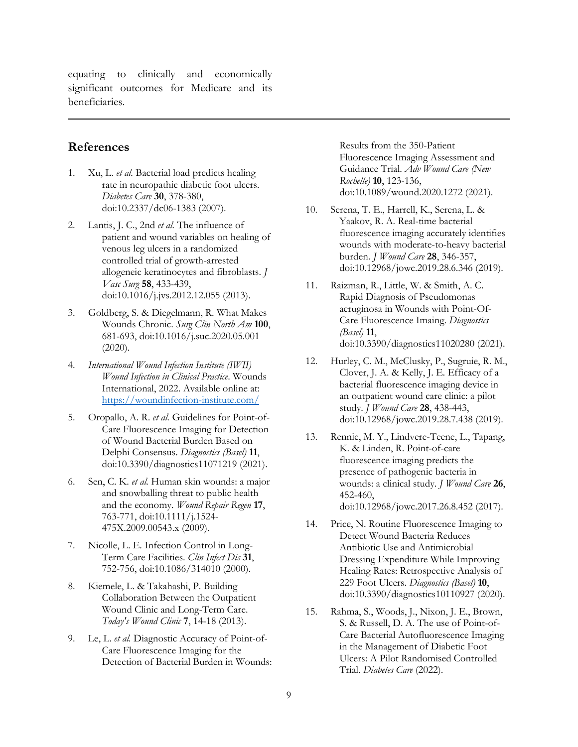equating to clinically and economically significant outcomes for Medicare and its beneficiaries.

#### **References**

- 1. Xu, L. *et al.* Bacterial load predicts healing rate in neuropathic diabetic foot ulcers. *Diabetes Care* **30**, 378-380, doi:10.2337/dc06-1383 (2007).
- 2. Lantis, J. C., 2nd *et al.* The influence of patient and wound variables on healing of venous leg ulcers in a randomized controlled trial of growth-arrested allogeneic keratinocytes and fibroblasts. *J Vasc Surg* **58**, 433-439, doi:10.1016/j.jvs.2012.12.055 (2013).
- 3. Goldberg, S. & Diegelmann, R. What Makes Wounds Chronic. *Surg Clin North Am* **100**, 681-693, doi:10.1016/j.suc.2020.05.001  $(2020).$
- 4. *International Wound Infection Institute (IWII) Wound Infection in Clinical Practice*. Wounds International, 2022. Available online at: <https://woundinfection-institute.com/>
- 5. Oropallo, A. R. *et al.* Guidelines for Point-of-Care Fluorescence Imaging for Detection of Wound Bacterial Burden Based on Delphi Consensus. *Diagnostics (Basel)* **11**, doi:10.3390/diagnostics11071219 (2021).
- 6. Sen, C. K. *et al.* Human skin wounds: a major and snowballing threat to public health and the economy. *Wound Repair Regen* **17**, 763-771, doi:10.1111/j.1524- 475X.2009.00543.x (2009).
- 7. Nicolle, L. E. Infection Control in Long-Term Care Facilities. *Clin Infect Dis* **31**, 752-756, doi:10.1086/314010 (2000).
- 8. Kiemele, L. & Takahashi, P. Building Collaboration Between the Outpatient Wound Clinic and Long-Term Care. *Today's Wound Clinic* **7**, 14-18 (2013).
- 9. Le, L. *et al.* Diagnostic Accuracy of Point-of-Care Fluorescence Imaging for the Detection of Bacterial Burden in Wounds:

Results from the 350-Patient Fluorescence Imaging Assessment and Guidance Trial. *Adv Wound Care (New Rochelle)* **10**, 123-136, doi:10.1089/wound.2020.1272 (2021).

- 10. Serena, T. E., Harrell, K., Serena, L. & Yaakov, R. A. Real-time bacterial fluorescence imaging accurately identifies wounds with moderate-to-heavy bacterial burden. *J Wound Care* **28**, 346-357, doi:10.12968/jowc.2019.28.6.346 (2019).
- 11. Raizman, R., Little, W. & Smith, A. C. Rapid Diagnosis of Pseudomonas aeruginosa in Wounds with Point-Of-Care Fluorescence Imaing. *Diagnostics (Basel)* **11**, doi:10.3390/diagnostics11020280 (2021).
- 12. Hurley, C. M., McClusky, P., Sugruie, R. M., Clover, J. A. & Kelly, J. E. Efficacy of a bacterial fluorescence imaging device in an outpatient wound care clinic: a pilot study. *J Wound Care* **28**, 438-443, doi:10.12968/jowc.2019.28.7.438 (2019).
- 13. Rennie, M. Y., Lindvere-Teene, L., Tapang, K. & Linden, R. Point-of-care fluorescence imaging predicts the presence of pathogenic bacteria in wounds: a clinical study. *J Wound Care* **26**, 452-460, doi:10.12968/jowc.2017.26.8.452 (2017).
- 14. Price, N. Routine Fluorescence Imaging to Detect Wound Bacteria Reduces Antibiotic Use and Antimicrobial Dressing Expenditure While Improving Healing Rates: Retrospective Analysis of 229 Foot Ulcers. *Diagnostics (Basel)* **10**, doi:10.3390/diagnostics10110927 (2020).
- 15. Rahma, S., Woods, J., Nixon, J. E., Brown, S. & Russell, D. A. The use of Point-of-Care Bacterial Autofluorescence Imaging in the Management of Diabetic Foot Ulcers: A Pilot Randomised Controlled Trial. *Diabetes Care* (2022).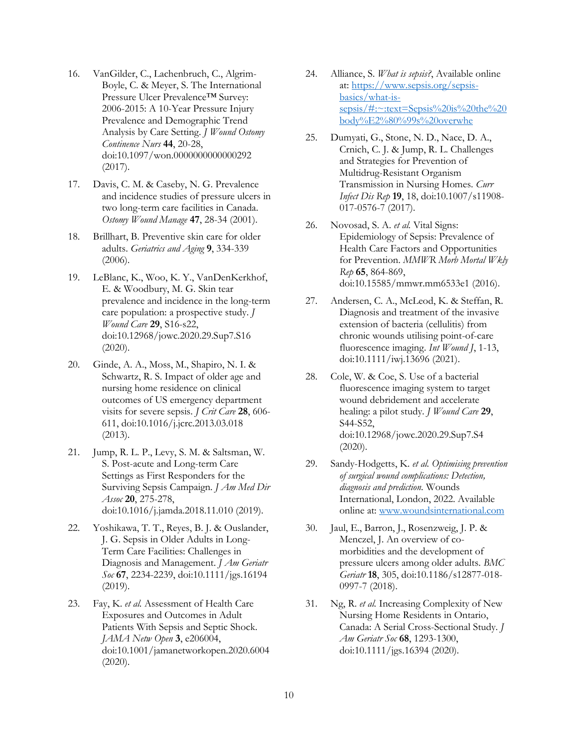- 16. VanGilder, C., Lachenbruch, C., Algrim-Boyle, C. & Meyer, S. The International Pressure Ulcer Prevalence™ Survey: 2006-2015: A 10-Year Pressure Injury Prevalence and Demographic Trend Analysis by Care Setting. *J Wound Ostomy Continence Nurs* **44**, 20-28, doi:10.1097/won.0000000000000292 (2017).
- 17. Davis, C. M. & Caseby, N. G. Prevalence and incidence studies of pressure ulcers in two long-term care facilities in Canada. *Ostomy Wound Manage* **47**, 28-34 (2001).
- 18. Brillhart, B. Preventive skin care for older adults. *Geriatrics and Aging* **9**, 334-339 (2006).
- 19. LeBlanc, K., Woo, K. Y., VanDenKerkhof, E. & Woodbury, M. G. Skin tear prevalence and incidence in the long-term care population: a prospective study. *J Wound Care* **29**, S16-s22, doi:10.12968/jowc.2020.29.Sup7.S16 (2020).
- 20. Ginde, A. A., Moss, M., Shapiro, N. I. & Schwartz, R. S. Impact of older age and nursing home residence on clinical outcomes of US emergency department visits for severe sepsis. *J Crit Care* **28**, 606- 611, doi:10.1016/j.jcrc.2013.03.018 (2013).
- 21. Jump, R. L. P., Levy, S. M. & Saltsman, W. S. Post-acute and Long-term Care Settings as First Responders for the Surviving Sepsis Campaign. *J Am Med Dir Assoc* **20**, 275-278, doi:10.1016/j.jamda.2018.11.010 (2019).
- 22. Yoshikawa, T. T., Reyes, B. J. & Ouslander, J. G. Sepsis in Older Adults in Long-Term Care Facilities: Challenges in Diagnosis and Management. *J Am Geriatr Soc* **67**, 2234-2239, doi:10.1111/jgs.16194 (2019).
- 23. Fay, K. *et al.* Assessment of Health Care Exposures and Outcomes in Adult Patients With Sepsis and Septic Shock. *JAMA Netw Open* **3**, e206004, doi:10.1001/jamanetworkopen.2020.6004 (2020).
- 24. Alliance, S. *What is sepsis?*, Available online at: [https://www.sepsis.org/sepsis](https://www.sepsis.org/sepsis-basics/what-is-sepsis/#:~:text=Sepsis%20is%20the%20body%E2%80%99s%20overwhe)[basics/what-is](https://www.sepsis.org/sepsis-basics/what-is-sepsis/#:~:text=Sepsis%20is%20the%20body%E2%80%99s%20overwhe)[sepsis/#:~:text=Sepsis%20is%20the%20](https://www.sepsis.org/sepsis-basics/what-is-sepsis/#:~:text=Sepsis%20is%20the%20body%E2%80%99s%20overwhe) [body%E2%80%99s%20overwhe](https://www.sepsis.org/sepsis-basics/what-is-sepsis/#:~:text=Sepsis%20is%20the%20body%E2%80%99s%20overwhe)
- 25. Dumyati, G., Stone, N. D., Nace, D. A., Crnich, C. J. & Jump, R. L. Challenges and Strategies for Prevention of Multidrug-Resistant Organism Transmission in Nursing Homes. *Curr Infect Dis Rep* **19**, 18, doi:10.1007/s11908- 017-0576-7 (2017).
- 26. Novosad, S. A. *et al.* Vital Signs: Epidemiology of Sepsis: Prevalence of Health Care Factors and Opportunities for Prevention. *MMWR Morb Mortal Wkly Rep* **65**, 864-869, doi:10.15585/mmwr.mm6533e1 (2016).
- 27. Andersen, C. A., McLeod, K. & Steffan, R. Diagnosis and treatment of the invasive extension of bacteria (cellulitis) from chronic wounds utilising point-of-care fluorescence imaging. *Int Wound J*, 1-13, doi:10.1111/iwj.13696 (2021).
- 28. Cole, W. & Coe, S. Use of a bacterial fluorescence imaging system to target wound debridement and accelerate healing: a pilot study. *J Wound Care* **29**, S44-S52, doi:10.12968/jowc.2020.29.Sup7.S4 (2020).
- 29. Sandy-Hodgetts, K. *et al. Optimising prevention of surgical wound complications: Detection, diagnosis and prediction.* Wounds International, London, 2022. Available online at[: www.woundsinternational.com](file:///C:/Users/Leah/AppData/Local/Microsoft/Windows/INetCache/Content.Outlook/CFP3VGJ3/www.woundsinternational.com)
- 30. Jaul, E., Barron, J., Rosenzweig, J. P. & Menczel, J. An overview of comorbidities and the development of pressure ulcers among older adults. *BMC Geriatr* **18**, 305, doi:10.1186/s12877-018- 0997-7 (2018).
- 31. Ng, R. *et al.* Increasing Complexity of New Nursing Home Residents in Ontario, Canada: A Serial Cross-Sectional Study. *J Am Geriatr Soc* **68**, 1293-1300, doi:10.1111/jgs.16394 (2020).